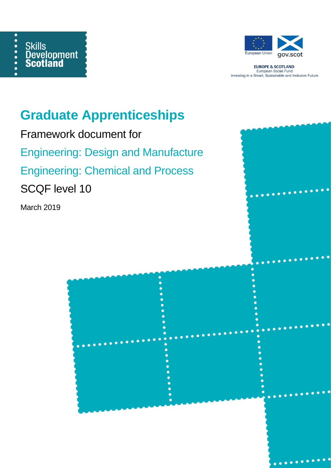



**EUROPE & SCOTLAND** European Social Fund<br>Investing in a Smart, Sustainable and Inclusive Future

# **Graduate Apprenticeships**

Framework document for Engineering: Design and Manufacture Engineering: Chemical and Process SCQF level 10

March 2019

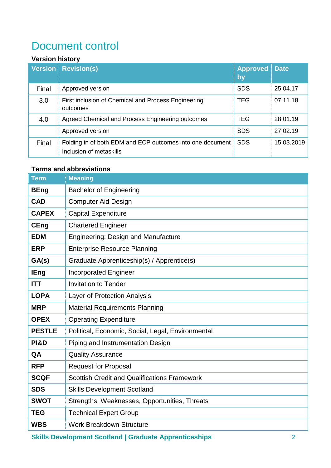## Document control

### **Version history**

|       | <b>Version Revision(s)</b>                                                           | <b>Approved Date</b><br>by |            |
|-------|--------------------------------------------------------------------------------------|----------------------------|------------|
| Final | Approved version                                                                     | <b>SDS</b>                 | 25.04.17   |
| 3.0   | First inclusion of Chemical and Process Engineering<br>outcomes                      | <b>TEG</b>                 | 07.11.18   |
| 4.0   | Agreed Chemical and Process Engineering outcomes                                     | <b>TEG</b>                 | 28.01.19   |
|       | Approved version                                                                     | <b>SDS</b>                 | 27.02.19   |
| Final | Folding in of both EDM and ECP outcomes into one document<br>Inclusion of metaskills | <b>SDS</b>                 | 15.03.2019 |

### **Terms and abbreviations**

| <b>Term</b>     | <b>Meaning</b>                                      |
|-----------------|-----------------------------------------------------|
| <b>BEng</b>     | <b>Bachelor of Engineering</b>                      |
| <b>CAD</b>      | <b>Computer Aid Design</b>                          |
| <b>CAPEX</b>    | <b>Capital Expenditure</b>                          |
| <b>CEng</b>     | <b>Chartered Engineer</b>                           |
| <b>EDM</b>      | <b>Engineering: Design and Manufacture</b>          |
| <b>ERP</b>      | <b>Enterprise Resource Planning</b>                 |
| GA(s)           | Graduate Apprenticeship(s) / Apprentice(s)          |
| <b>IEng</b>     | <b>Incorporated Engineer</b>                        |
| <b>ITT</b>      | <b>Invitation to Tender</b>                         |
| <b>LOPA</b>     | Layer of Protection Analysis                        |
| <b>MRP</b>      | <b>Material Requirements Planning</b>               |
| <b>OPEX</b>     | <b>Operating Expenditure</b>                        |
| <b>PESTLE</b>   | Political, Economic, Social, Legal, Environmental   |
| <b>PI&amp;D</b> | Piping and Instrumentation Design                   |
| QA              | <b>Quality Assurance</b>                            |
| <b>RFP</b>      | <b>Request for Proposal</b>                         |
| <b>SCQF</b>     | <b>Scottish Credit and Qualifications Framework</b> |
| <b>SDS</b>      | <b>Skills Development Scotland</b>                  |
| <b>SWOT</b>     | Strengths, Weaknesses, Opportunities, Threats       |
| <b>TEG</b>      | <b>Technical Expert Group</b>                       |
| <b>WBS</b>      | <b>Work Breakdown Structure</b>                     |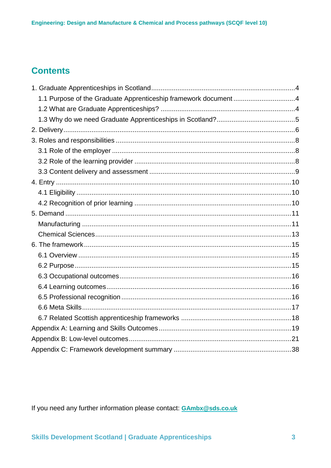### **Contents**

| 1.1 Purpose of the Graduate Apprenticeship framework document4 |  |
|----------------------------------------------------------------|--|
|                                                                |  |
|                                                                |  |
|                                                                |  |
|                                                                |  |
|                                                                |  |
|                                                                |  |
|                                                                |  |
|                                                                |  |
|                                                                |  |
|                                                                |  |
|                                                                |  |
|                                                                |  |
|                                                                |  |
|                                                                |  |
|                                                                |  |
|                                                                |  |
|                                                                |  |
|                                                                |  |
|                                                                |  |
|                                                                |  |
|                                                                |  |
|                                                                |  |
|                                                                |  |
|                                                                |  |

If you need any further information please contact: **GAmbx@sds.co.uk**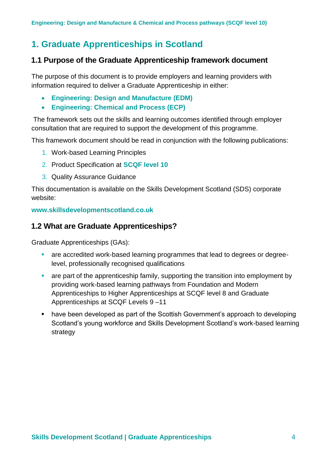### <span id="page-3-0"></span>**1. Graduate Apprenticeships in Scotland**

### <span id="page-3-1"></span>**1.1 Purpose of the Graduate Apprenticeship framework document**

The purpose of this document is to provide employers and learning providers with information required to deliver a Graduate Apprenticeship in either:

- **Engineering: Design and Manufacture (EDM)**
- **Engineering: Chemical and Process (ECP)**

The framework sets out the skills and learning outcomes identified through employer consultation that are required to support the development of this programme.

This framework document should be read in conjunction with the following publications:

- 1. Work-based Learning Principles
- 2. Product Specification at **SCQF level 10**
- 3. Quality Assurance Guidance

This documentation is available on the Skills Development Scotland (SDS) corporate website:

**www.skillsdevelopmentscotland.co.uk**

### <span id="page-3-2"></span>**1.2 What are Graduate Apprenticeships?**

Graduate Apprenticeships (GAs):

- are accredited work-based learning programmes that lead to degrees or degreelevel, professionally recognised qualifications
- are part of the apprenticeship family, supporting the transition into employment by providing work-based learning pathways from Foundation and Modern Apprenticeships to Higher Apprenticeships at SCQF level 8 and Graduate Apprenticeships at SCQF Levels 9 –11
- have been developed as part of the Scottish Government's approach to developing Scotland's young workforce and Skills Development Scotland's work-based learning strategy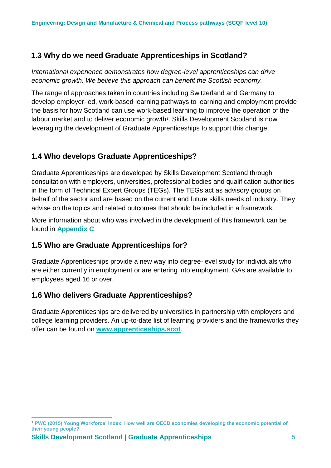### <span id="page-4-0"></span>**1.3 Why do we need Graduate Apprenticeships in Scotland?**

*International experience demonstrates how degree-level apprenticeships can drive economic growth. We believe this approach can benefit the Scottish economy.*

The range of approaches taken in countries including Switzerland and Germany to develop employer-led, work-based learning pathways to learning and employment provide the basis for how Scotland can use work-based learning to improve the operation of the labour market and to deliver economic growth<sup>1</sup>. Skills Development Scotland is now leveraging the development of Graduate Apprenticeships to support this change.

### **1.4 Who develops Graduate Apprenticeships?**

Graduate Apprenticeships are developed by Skills Development Scotland through consultation with employers, universities, professional bodies and qualification authorities in the form of Technical Expert Groups (TEGs). The TEGs act as advisory groups on behalf of the sector and are based on the current and future skills needs of industry. They advise on the topics and related outcomes that should be included in a framework.

More information about who was involved in the development of this framework can be found in **Appendix C**.

### **1.5 Who are Graduate Apprenticeships for?**

Graduate Apprenticeships provide a new way into degree-level study for individuals who are either currently in employment or are entering into employment. GAs are available to employees aged 16 or over.

### **1.6 Who delivers Graduate Apprenticeships?**

Graduate Apprenticeships are delivered by universities in partnership with employers and college learning providers. An up-to-date list of learning providers and the frameworks they offer can be found on **[www.apprenticeships.scot](http://www.apprenticeships.scot/)**.

<sup>1</sup> <sup>1</sup> **PWC (2015) Young Workforce' Index: How well are OECD economies developing the economic potential of their young people?**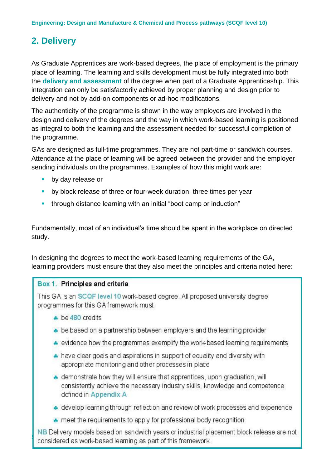### <span id="page-5-0"></span>**2. Delivery**

As Graduate Apprentices are work-based degrees, the place of employment is the primary place of learning. The learning and skills development must be fully integrated into both the **delivery and assessment** of the degree when part of a Graduate Apprenticeship. This integration can only be satisfactorily achieved by proper planning and design prior to delivery and not by add-on components or ad-hoc modifications.

The authenticity of the programme is shown in the way employers are involved in the design and delivery of the degrees and the way in which work-based learning is positioned as integral to both the learning and the assessment needed for successful completion of the programme.

GAs are designed as full-time programmes. They are not part-time or sandwich courses. Attendance at the place of learning will be agreed between the provider and the employer sending individuals on the programmes. Examples of how this might work are:

- by day release or
- **EXP** by block release of three or four-week duration, three times per year
- **E** through distance learning with an initial "boot camp or induction"

Fundamentally, most of an individual's time should be spent in the workplace on directed study.

In designing the degrees to meet the work-based learning requirements of the GA, learning providers must ensure that they also meet the principles and criteria noted here:

### Box 1. Principles and criteria

This GA is an SCQF level 10 work-based degree. All proposed university degree programmes for this GA framework must:

- be 480 credits
- be based on a partnership between employers and the learning provider
- evidence how the programmes exemplify the work-based learning requirements
- A have clear goals and aspirations in support of equality and diversity with appropriate monitoring and other processes in place
- demonstrate how they will ensure that apprentices, upon graduation, will consistently achieve the necessary industry skills, knowledge and competence defined in Appendix A
- ▲ develop learning through reflection and review of work processes and experience
- meet the requirements to apply for professional body recognition

**NB** Delivery models based on sandwich years or industrial placement block release are not considered as work-based learning as part of this framework.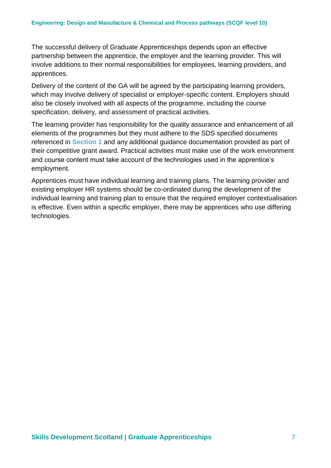The successful delivery of Graduate Apprenticeships depends upon an effective partnership between the apprentice, the employer and the learning provider. This will involve additions to their normal responsibilities for employees, learning providers, and apprentices.

Delivery of the content of the GA will be agreed by the participating learning providers, which may involve delivery of specialist or employer-specific content. Employers should also be closely involved with all aspects of the programme, including the course specification, delivery, and assessment of practical activities.

The learning provider has responsibility for the quality assurance and enhancement of all elements of the programmes but they must adhere to the SDS specified documents referenced in **Section 1** and any additional guidance documentation provided as part of their competitive grant award. Practical activities must make use of the work environment and course content must take account of the technologies used in the apprentice's employment.

Apprentices must have individual learning and training plans. The learning provider and existing employer HR systems should be co-ordinated during the development of the individual learning and training plan to ensure that the required employer contextualisation is effective. Even within a specific employer, there may be apprentices who use differing technologies.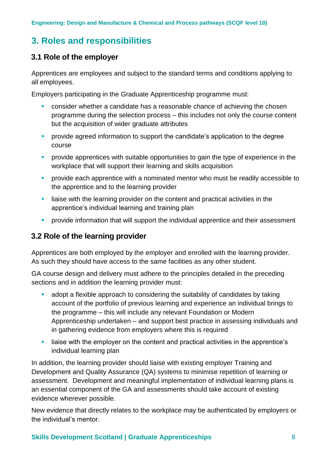### <span id="page-7-0"></span>**3. Roles and responsibilities**

### <span id="page-7-1"></span>**3.1 Role of the employer**

Apprentices are employees and subject to the standard terms and conditions applying to all employees.

Employers participating in the Graduate Apprenticeship programme must:

- consider whether a candidate has a reasonable chance of achieving the chosen programme during the selection process – this includes not only the course content but the acquisition of wider graduate attributes
- **•** provide agreed information to support the candidate's application to the degree course
- **•** provide apprentices with suitable opportunities to gain the type of experience in the workplace that will support their learning and skills acquisition
- **•** provide each apprentice with a nominated mentor who must be readily accessible to the apprentice and to the learning provider
- **E** liaise with the learning provider on the content and practical activities in the apprentice's individual learning and training plan
- provide information that will support the individual apprentice and their assessment

### <span id="page-7-2"></span>**3.2 Role of the learning provider**

Apprentices are both employed by the employer and enrolled with the learning provider. As such they should have access to the same facilities as any other student.

GA course design and delivery must adhere to the principles detailed in the preceding sections and in addition the learning provider must:

- adopt a flexible approach to considering the suitability of candidates by taking account of the portfolio of previous learning and experience an individual brings to the programme – this will include any relevant Foundation or Modern Apprenticeship undertaken – and support best practice in assessing individuals and in gathering evidence from employers where this is required
- liaise with the employer on the content and practical activities in the apprentice's individual learning plan

In addition, the learning provider should liaise with existing employer Training and Development and Quality Assurance (QA) systems to minimise repetition of learning or assessment. Development and meaningful implementation of individual learning plans is an essential component of the GA and assessments should take account of existing evidence wherever possible.

New evidence that directly relates to the workplace may be authenticated by employers or the individual's mentor.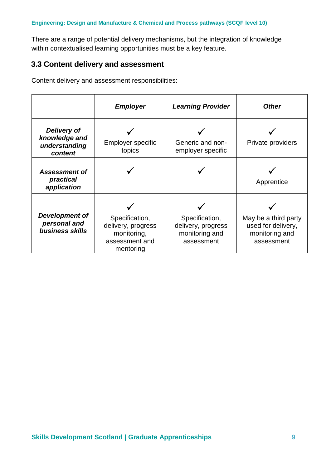There are a range of potential delivery mechanisms, but the integration of knowledge within contextualised learning opportunities must be a key feature.

### <span id="page-8-0"></span>**3.3 Content delivery and assessment**

Content delivery and assessment responsibilities:

|                                                          | <b>Employer</b>                                                                    | <b>Learning Provider</b>                                             | <b>Other</b>                                                               |
|----------------------------------------------------------|------------------------------------------------------------------------------------|----------------------------------------------------------------------|----------------------------------------------------------------------------|
| Delivery of<br>knowledge and<br>understanding<br>content | <b>Employer specific</b><br>topics                                                 | Generic and non-<br>employer specific                                | Private providers                                                          |
| <b>Assessment of</b><br>practical<br>application         |                                                                                    |                                                                      | Apprentice                                                                 |
| Development of<br>personal and<br>business skills        | Specification,<br>delivery, progress<br>monitoring,<br>assessment and<br>mentoring | Specification,<br>delivery, progress<br>monitoring and<br>assessment | May be a third party<br>used for delivery,<br>monitoring and<br>assessment |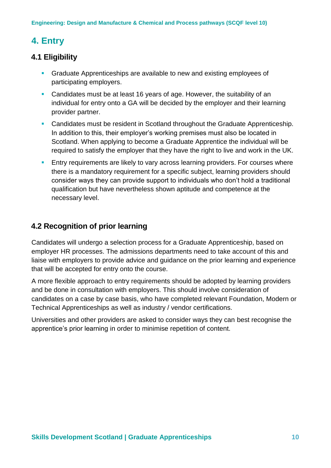### <span id="page-9-0"></span>**4. Entry**

### <span id="page-9-1"></span>**4.1 Eligibility**

- Graduate Apprenticeships are available to new and existing employees of participating employers.
- Candidates must be at least 16 years of age. However, the suitability of an individual for entry onto a GA will be decided by the employer and their learning provider partner.
- **EXEC** Candidates must be resident in Scotland throughout the Graduate Apprenticeship. In addition to this, their employer's working premises must also be located in Scotland. When applying to become a Graduate Apprentice the individual will be required to satisfy the employer that they have the right to live and work in the UK.
- **Entry requirements are likely to vary across learning providers. For courses where** there is a mandatory requirement for a specific subject, learning providers should consider ways they can provide support to individuals who don't hold a traditional qualification but have nevertheless shown aptitude and competence at the necessary level.

### <span id="page-9-2"></span>**4.2 Recognition of prior learning**

Candidates will undergo a selection process for a Graduate Apprenticeship, based on employer HR processes. The admissions departments need to take account of this and liaise with employers to provide advice and guidance on the prior learning and experience that will be accepted for entry onto the course.

A more flexible approach to entry requirements should be adopted by learning providers and be done in consultation with employers. This should involve consideration of candidates on a case by case basis, who have completed relevant Foundation, Modern or Technical Apprenticeships as well as industry / vendor certifications.

Universities and other providers are asked to consider ways they can best recognise the apprentice's prior learning in order to minimise repetition of content.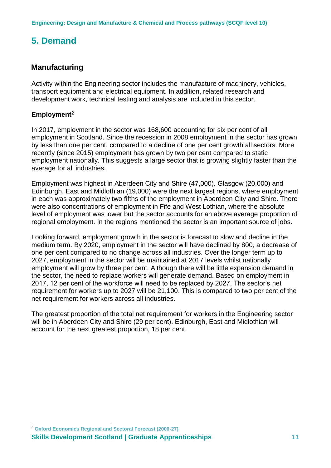### <span id="page-10-0"></span>**5. Demand**

### <span id="page-10-1"></span>**Manufacturing**

Activity within the Engineering sector includes the manufacture of machinery, vehicles, transport equipment and electrical equipment. In addition, related research and development work, technical testing and analysis are included in this sector.

### **Employment**<sup>2</sup>

In 2017, employment in the sector was 168,600 accounting for six per cent of all employment in Scotland. Since the recession in 2008 employment in the sector has grown by less than one per cent, compared to a decline of one per cent growth all sectors. More recently (since 2015) employment has grown by two per cent compared to static employment nationally. This suggests a large sector that is growing slightly faster than the average for all industries.

Employment was highest in Aberdeen City and Shire (47,000). Glasgow (20,000) and Edinburgh, East and Midlothian (19,000) were the next largest regions, where employment in each was approximately two fifths of the employment in Aberdeen City and Shire. There were also concentrations of employment in Fife and West Lothian, where the absolute level of employment was lower but the sector accounts for an above average proportion of regional employment. In the regions mentioned the sector is an important source of jobs.

Looking forward, employment growth in the sector is forecast to slow and decline in the medium term. By 2020, employment in the sector will have declined by 800, a decrease of one per cent compared to no change across all industries. Over the longer term up to 2027, employment in the sector will be maintained at 2017 levels whilst nationally employment will grow by three per cent. Although there will be little expansion demand in the sector, the need to replace workers will generate demand. Based on employment in 2017, 12 per cent of the workforce will need to be replaced by 2027. The sector's net requirement for workers up to 2027 will be 21,100. This is compared to two per cent of the net requirement for workers across all industries.

The greatest proportion of the total net requirement for workers in the Engineering sector will be in Aberdeen City and Shire (29 per cent). Edinburgh, East and Midlothian will account for the next greatest proportion, 18 per cent.

<sup>1</sup> <sup>2</sup> **Oxford Economics Regional and Sectoral Forecast (2000-27)** 

**Skills Development Scotland | Graduate Apprenticeships 11**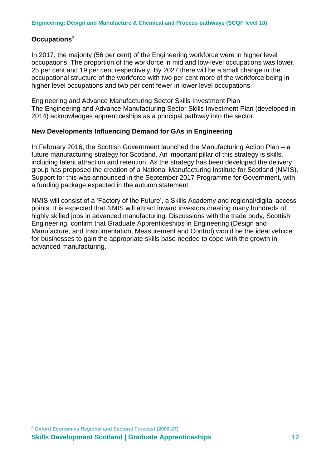### **Occupations**<sup>3</sup>

In 2017, the majority (56 per cent) of the Engineering workforce were in higher level occupations. The proportion of the workforce in mid and low-level occupations was lower, 25 per cent and 19 per cent respectively. By 2027 there will be a small change in the occupational structure of the workforce with two per cent more of the workforce being in higher level occupations and two per cent fewer in lower level occupations.

Engineering and Advance Manufacturing Sector Skills Investment Plan The Engineering and Advance Manufacturing Sector Skills Investment Plan (developed in 2014) acknowledges apprenticeships as a principal pathway into the sector.

### **New Developments Influencing Demand for GAs in Engineering**

In February 2016, the Scottish Government launched the Manufacturing Action Plan – a future manufacturing strategy for Scotland. An important pillar of this strategy is skills, including talent attraction and retention. As the strategy has been developed the delivery group has proposed the creation of a National Manufacturing Institute for Scotland (NMIS). Support for this was announced in the September 2017 Programme for Government, with a funding package expected in the autumn statement.

NMIS will consist of a 'Factory of the Future', a Skills Academy and regional/digital access points. It is expected that NMIS will attract inward investors creating many hundreds of highly skilled jobs in advanced manufacturing. Discussions with the trade body, Scottish Engineering, confirm that Graduate Apprenticeships in Engineering (Design and Manufacture, and Instrumentation, Measurement and Control) would be the ideal vehicle for businesses to gain the appropriate skills base needed to cope with the growth in advanced manufacturing.

<sup>1</sup> <sup>3</sup> **Oxford Economics Regional and Sectoral Forecast (2000-27)** 

**Skills Development Scotland | Graduate Apprenticeships 12**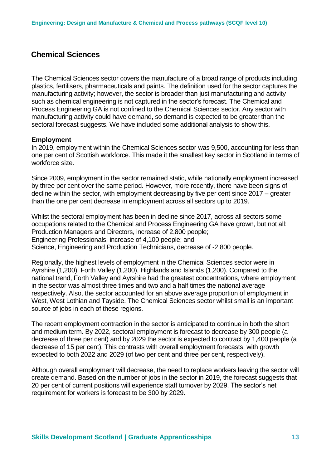### <span id="page-12-0"></span>**Chemical Sciences**

The Chemical Sciences sector covers the manufacture of a broad range of products including plastics, fertilisers, pharmaceuticals and paints. The definition used for the sector captures the manufacturing activity; however, the sector is broader than just manufacturing and activity such as chemical engineering is not captured in the sector's forecast. The Chemical and Process Engineering GA is not confined to the Chemical Sciences sector. Any sector with manufacturing activity could have demand, so demand is expected to be greater than the sectoral forecast suggests. We have included some additional analysis to show this.

#### **Employment**

In 2019, employment within the Chemical Sciences sector was 9,500, accounting for less than one per cent of Scottish workforce. This made it the smallest key sector in Scotland in terms of workforce size.

Since 2009, employment in the sector remained static, while nationally employment increased by three per cent over the same period. However, more recently, there have been signs of decline within the sector, with employment decreasing by five per cent since 2017 – greater than the one per cent decrease in employment across all sectors up to 2019.

Whilst the sectoral employment has been in decline since 2017, across all sectors some occupations related to the Chemical and Process Engineering GA have grown, but not all: Production Managers and Directors, increase of 2,800 people; Engineering Professionals, increase of 4,100 people; and Science, Engineering and Production Technicians, decrease of -2,800 people.

Regionally, the highest levels of employment in the Chemical Sciences sector were in Ayrshire (1,200), Forth Valley (1,200), Highlands and Islands (1,200). Compared to the national trend, Forth Valley and Ayrshire had the greatest concentrations, where employment in the sector was almost three times and two and a half times the national average respectively. Also, the sector accounted for an above average proportion of employment in West, West Lothian and Tayside. The Chemical Sciences sector whilst small is an important source of jobs in each of these regions.

The recent employment contraction in the sector is anticipated to continue in both the short and medium term. By 2022, sectoral employment is forecast to decrease by 300 people (a decrease of three per cent) and by 2029 the sector is expected to contract by 1,400 people (a decrease of 15 per cent). This contrasts with overall employment forecasts, with growth expected to both 2022 and 2029 (of two per cent and three per cent, respectively).

Although overall employment will decrease, the need to replace workers leaving the sector will create demand. Based on the number of jobs in the sector in 2019, the forecast suggests that 20 per cent of current positions will experience staff turnover by 2029. The sector's net requirement for workers is forecast to be 300 by 2029.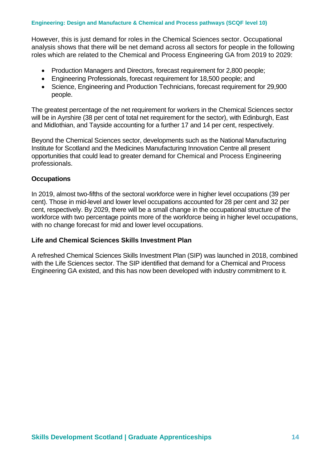However, this is just demand for roles in the Chemical Sciences sector. Occupational analysis shows that there will be net demand across all sectors for people in the following roles which are related to the Chemical and Process Engineering GA from 2019 to 2029:

- Production Managers and Directors, forecast requirement for 2,800 people;
- Engineering Professionals, forecast requirement for 18,500 people; and
- Science, Engineering and Production Technicians, forecast requirement for 29,900 people.

The greatest percentage of the net requirement for workers in the Chemical Sciences sector will be in Ayrshire (38 per cent of total net requirement for the sector), with Edinburgh, East and Midlothian, and Tayside accounting for a further 17 and 14 per cent, respectively.

Beyond the Chemical Sciences sector, developments such as the National Manufacturing Institute for Scotland and the Medicines Manufacturing Innovation Centre all present opportunities that could lead to greater demand for Chemical and Process Engineering professionals.

### **Occupations**

In 2019, almost two-fifths of the sectoral workforce were in higher level occupations (39 per cent). Those in mid-level and lower level occupations accounted for 28 per cent and 32 per cent, respectively. By 2029, there will be a small change in the occupational structure of the workforce with two percentage points more of the workforce being in higher level occupations, with no change forecast for mid and lower level occupations.

### **Life and Chemical Sciences Skills Investment Plan**

A refreshed Chemical Sciences Skills Investment Plan (SIP) was launched in 2018, combined with the Life Sciences sector. The SIP identified that demand for a Chemical and Process Engineering GA existed, and this has now been developed with industry commitment to it.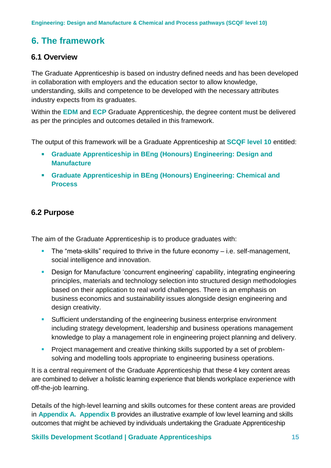### <span id="page-14-0"></span>**6. The framework**

### <span id="page-14-1"></span>**6.1 Overview**

The Graduate Apprenticeship is based on industry defined needs and has been developed in collaboration with employers and the education sector to allow knowledge, understanding, skills and competence to be developed with the necessary attributes industry expects from its graduates.

Within the **EDM** and **ECP** Graduate Apprenticeship, the degree content must be delivered as per the principles and outcomes detailed in this framework.

The output of this framework will be a Graduate Apprenticeship at **SCQF level 10** entitled:

- **Graduate Apprenticeship in BEng (Honours) Engineering: Design and Manufacture**
- **Graduate Apprenticeship in BEng (Honours) Engineering: Chemical and Process**

### <span id="page-14-2"></span>**6.2 Purpose**

The aim of the Graduate Apprenticeship is to produce graduates with:

- **•** The "meta-skills" required to thrive in the future economy i.e. self-management, social intelligence and innovation.
- Design for Manufacture 'concurrent engineering' capability, integrating engineering principles, materials and technology selection into structured design methodologies based on their application to real world challenges. There is an emphasis on business economics and sustainability issues alongside design engineering and design creativity.
- **EXT** Sufficient understanding of the engineering business enterprise environment including strategy development, leadership and business operations management knowledge to play a management role in engineering project planning and delivery.
- **•** Project management and creative thinking skills supported by a set of problemsolving and modelling tools appropriate to engineering business operations.

It is a central requirement of the Graduate Apprenticeship that these 4 key content areas are combined to deliver a holistic learning experience that blends workplace experience with off-the-job learning.

Details of the high-level learning and skills outcomes for these content areas are provided in **Appendix A. Appendix B** provides an illustrative example of low level learning and skills outcomes that might be achieved by individuals undertaking the Graduate Apprenticeship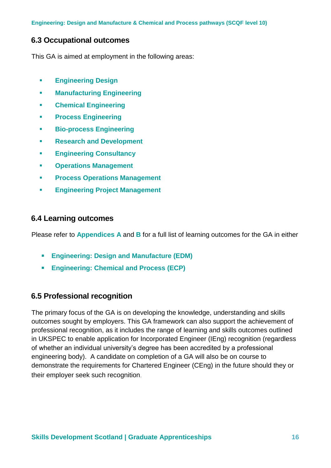**Engineering: Design and Manufacture & Chemical and Process pathways (SCQF level 10)**

### <span id="page-15-0"></span>**6.3 Occupational outcomes**

This GA is aimed at employment in the following areas:

- **Engineering Design**
- **Manufacturing Engineering**
- **Chemical Engineering**
- **Process Engineering**
- **Bio-process Engineering**
- **Research and Development**
- **Engineering Consultancy**
- **Operations Management**
- **Process Operations Management**
- **Engineering Project Management**

### <span id="page-15-1"></span>**6.4 Learning outcomes**

Please refer to **Appendices A** and **B** for a full list of learning outcomes for the GA in either

- **Engineering: Design and Manufacture (EDM)**
- **Engineering: Chemical and Process (ECP)**

### <span id="page-15-2"></span>**6.5 Professional recognition**

The primary focus of the GA is on developing the knowledge, understanding and skills outcomes sought by employers. This GA framework can also support the achievement of professional recognition, as it includes the range of learning and skills outcomes outlined in UKSPEC to enable application for Incorporated Engineer (IEng) recognition (regardless of whether an individual university's degree has been accredited by a professional engineering body). A candidate on completion of a GA will also be on course to demonstrate the requirements for Chartered Engineer (CEng) in the future should they or their employer seek such recognition.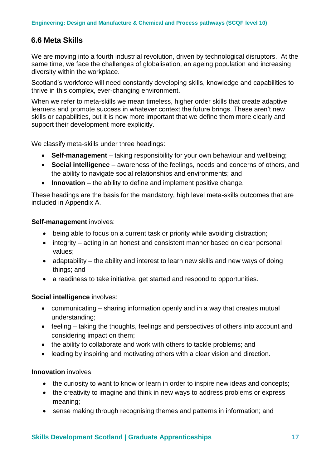### <span id="page-16-0"></span>**6.6 Meta Skills**

We are moving into a fourth industrial revolution, driven by technological disruptors. At the same time, we face the challenges of globalisation, an ageing population and increasing diversity within the workplace.

Scotland's workforce will need constantly developing skills, knowledge and capabilities to thrive in this complex, ever-changing environment.

When we refer to meta-skills we mean timeless, higher order skills that create adaptive learners and promote success in whatever context the future brings. These aren't new skills or capabilities, but it is now more important that we define them more clearly and support their development more explicitly.

We classify meta-skills under three headings:

- **Self-management** taking responsibility for your own behaviour and wellbeing;
- **Social intelligence** awareness of the feelings, needs and concerns of others, and the ability to navigate social relationships and environments; and
- **Innovation** the ability to define and implement positive change.

These headings are the basis for the mandatory, high level meta-skills outcomes that are included in Appendix A.

### **Self-management** involves:

- being able to focus on a current task or priority while avoiding distraction;
- integrity acting in an honest and consistent manner based on clear personal values;
- adaptability the ability and interest to learn new skills and new ways of doing things; and
- a readiness to take initiative, get started and respond to opportunities.

### **Social intelligence** involves:

- communicating sharing information openly and in a way that creates mutual understanding;
- feeling taking the thoughts, feelings and perspectives of others into account and considering impact on them;
- the ability to collaborate and work with others to tackle problems; and
- leading by inspiring and motivating others with a clear vision and direction.

### **Innovation** involves:

- the curiosity to want to know or learn in order to inspire new ideas and concepts;
- the creativity to imagine and think in new ways to address problems or express meaning;
- sense making through recognising themes and patterns in information; and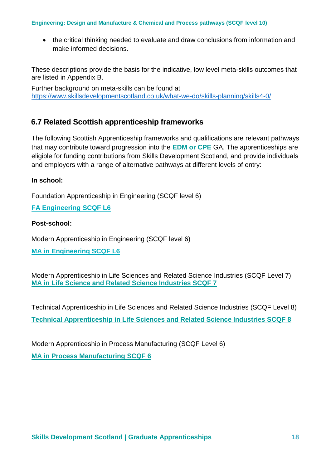#### **Engineering: Design and Manufacture & Chemical and Process pathways (SCQF level 10)**

• the critical thinking needed to evaluate and draw conclusions from information and make informed decisions.

These descriptions provide the basis for the indicative, low level meta-skills outcomes that are listed in Appendix B.

Further background on meta-skills can be found at <https://www.skillsdevelopmentscotland.co.uk/what-we-do/skills-planning/skills4-0/>

### <span id="page-17-0"></span>**6.7 Related Scottish apprenticeship frameworks**

The following Scottish Apprenticeship frameworks and qualifications are relevant pathways that may contribute toward progression into the **EDM or CPE** GA. The apprenticeships are eligible for funding contributions from Skills Development Scotland, and provide individuals and employers with a range of alternative pathways at different levels of entry:

### **In school:**

Foundation Apprenticeship in Engineering (SCQF level 6)

**[FA Engineering SCQF L6](https://www.apprenticeships.scot/become-an-apprentice/foundation-apprenticeships/engineering/)**

### **Post-school:**

Modern Apprenticeship in Engineering (SCQF level 6)

**[MA in Engineering SCQF L6](http://www.skillsdevelopmentscotland.co.uk/media/41089/engineering-dec2015v5.pdf)**

Modern Apprenticeship in Life Sciences and Related Science Industries (SCQF Level 7) **[MA in Life Science and Related Science Industries SCQF 7](https://www.skillsdevelopmentscotland.co.uk/media/33425/life_sciences_ma_l_3_sept__2015.pdf)**

Technical Apprenticeship in Life Sciences and Related Science Industries (SCQF Level 8) **[Technical Apprenticeship in Life Sciences and Related Science Industries SCQF 8](https://www.skillsdevelopmentscotland.co.uk/media/33428/life_sciences_ta_aug_2015.pdf)**

Modern Apprenticeship in Process Manufacturing (SCQF Level 6) **[MA in Process Manufacturing SCQF 6](https://www.skillsdevelopmentscotland.co.uk/what-we-do/apprenticeships/modern-apprenticeships/modern-apprenticeship-frameworks/cogent/process-manufacturing/)**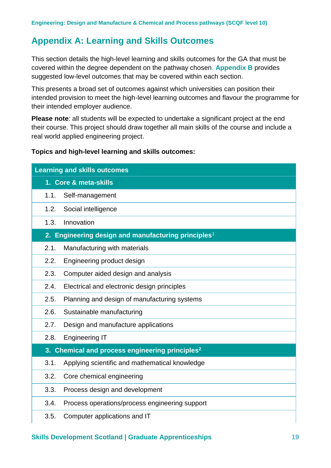### <span id="page-18-0"></span>**Appendix A: Learning and Skills Outcomes**

This section details the high-level learning and skills outcomes for the GA that must be covered within the degree dependent on the pathway chosen**. Appendix B** provides suggested low-level outcomes that may be covered within each section.

This presents a broad set of outcomes against which universities can position their intended provision to meet the high-level learning outcomes and flavour the programme for their intended employer audience.

**Please note**: all students will be expected to undertake a significant project at the end their course. This project should draw together all main skills of the course and include a real world applied engineering project.

### **Topics and high-level learning and skills outcomes:**

| <b>Learning and skills outcomes</b>                             |  |  |  |
|-----------------------------------------------------------------|--|--|--|
| 1. Core & meta-skills                                           |  |  |  |
| 1.1.<br>Self-management                                         |  |  |  |
| 1.2.<br>Social intelligence                                     |  |  |  |
| 1.3.<br>Innovation                                              |  |  |  |
| 2. Engineering design and manufacturing principles <sup>1</sup> |  |  |  |
| 2.1.<br>Manufacturing with materials                            |  |  |  |
| 2.2.<br>Engineering product design                              |  |  |  |
| 2.3.<br>Computer aided design and analysis                      |  |  |  |
| 2.4.<br>Electrical and electronic design principles             |  |  |  |
| 2.5.<br>Planning and design of manufacturing systems            |  |  |  |
| 2.6.<br>Sustainable manufacturing                               |  |  |  |
| 2.7.<br>Design and manufacture applications                     |  |  |  |
| 2.8.<br><b>Engineering IT</b>                                   |  |  |  |
| Chemical and process engineering principles <sup>2</sup><br>3.  |  |  |  |
| 3.1.<br>Applying scientific and mathematical knowledge          |  |  |  |
| 3.2.<br>Core chemical engineering                               |  |  |  |
| 3.3.<br>Process design and development                          |  |  |  |
| Process operations/process engineering support<br>3.4.          |  |  |  |
| 3.5.<br>Computer applications and IT                            |  |  |  |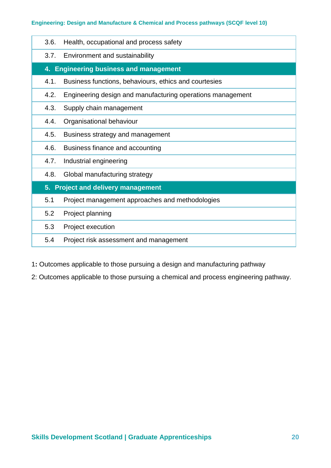### **Engineering: Design and Manufacture & Chemical and Process pathways (SCQF level 10)**

| 3.6.                                         | Health, occupational and process safety                    |  |  |  |
|----------------------------------------------|------------------------------------------------------------|--|--|--|
| 3.7.                                         | Environment and sustainability                             |  |  |  |
| 4.                                           | <b>Engineering business and management</b>                 |  |  |  |
| 4.1.                                         | Business functions, behaviours, ethics and courtesies      |  |  |  |
| 4.2.                                         | Engineering design and manufacturing operations management |  |  |  |
| 4.3.                                         | Supply chain management                                    |  |  |  |
| 4.4.                                         | Organisational behaviour                                   |  |  |  |
| 4.5.                                         | Business strategy and management                           |  |  |  |
| 4.6.                                         | Business finance and accounting                            |  |  |  |
| 4.7.                                         | Industrial engineering                                     |  |  |  |
| 4.8.                                         | Global manufacturing strategy                              |  |  |  |
| <b>Project and delivery management</b><br>5. |                                                            |  |  |  |
| 5.1                                          | Project management approaches and methodologies            |  |  |  |
| 5.2                                          | Project planning                                           |  |  |  |
| 5.3                                          | Project execution                                          |  |  |  |
| 5.4                                          | Project risk assessment and management                     |  |  |  |
|                                              |                                                            |  |  |  |

1**:** Outcomes applicable to those pursuing a design and manufacturing pathway

2: Outcomes applicable to those pursuing a chemical and process engineering pathway.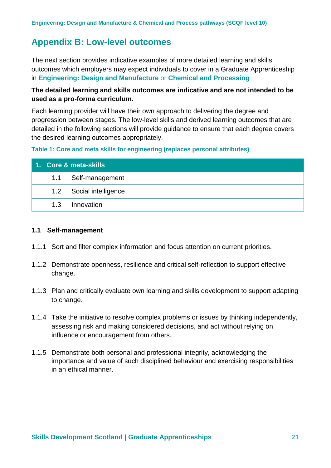### <span id="page-20-0"></span>**Appendix B: Low-level outcomes**

The next section provides indicative examples of more detailed learning and skills outcomes which employers may expect individuals to cover in a Graduate Apprenticeship in **Engineering: Design and Manufacture** or **Chemical and Processing**

### **The detailed learning and skills outcomes are indicative and are not intended to be used as a pro-forma curriculum.**

Each learning provider will have their own approach to delivering the degree and progression between stages. The low-level skills and derived learning outcomes that are detailed in the following sections will provide guidance to ensure that each degree covers the desired learning outcomes appropriately.

#### **Table 1: Core and meta skills for engineering (replaces personal attributes)**

| 1. Core & meta-skills |     |                         |
|-----------------------|-----|-------------------------|
|                       |     | 1.1 Self-management     |
|                       |     | 1.2 Social intelligence |
|                       | 1.3 | Innovation              |

#### **1.1 Self-management**

- 1.1.1 Sort and filter complex information and focus attention on current priorities.
- 1.1.2 Demonstrate openness, resilience and critical self-reflection to support effective change.
- 1.1.3 Plan and critically evaluate own learning and skills development to support adapting to change.
- 1.1.4 Take the initiative to resolve complex problems or issues by thinking independently, assessing risk and making considered decisions, and act without relying on influence or encouragement from others.
- 1.1.5 Demonstrate both personal and professional integrity, acknowledging the importance and value of such disciplined behaviour and exercising responsibilities in an ethical manner.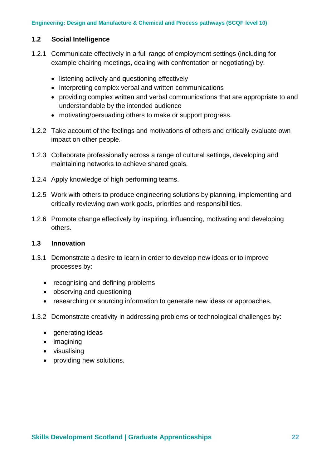### **1.2 Social Intelligence**

- 1.2.1 Communicate effectively in a full range of employment settings (including for example chairing meetings, dealing with confrontation or negotiating) by:
	- listening actively and questioning effectively
	- interpreting complex verbal and written communications
	- providing complex written and verbal communications that are appropriate to and understandable by the intended audience
	- motivating/persuading others to make or support progress.
- 1.2.2 Take account of the feelings and motivations of others and critically evaluate own impact on other people.
- 1.2.3 Collaborate professionally across a range of cultural settings, developing and maintaining networks to achieve shared goals.
- 1.2.4 Apply knowledge of high performing teams.
- 1.2.5 Work with others to produce engineering solutions by planning, implementing and critically reviewing own work goals, priorities and responsibilities.
- 1.2.6 Promote change effectively by inspiring, influencing, motivating and developing others.

### **1.3 Innovation**

- 1.3.1 Demonstrate a desire to learn in order to develop new ideas or to improve processes by:
	- recognising and defining problems
	- observing and questioning
	- researching or sourcing information to generate new ideas or approaches.
- 1.3.2 Demonstrate creativity in addressing problems or technological challenges by:
	- generating ideas
	- imagining
	- visualising
	- providing new solutions.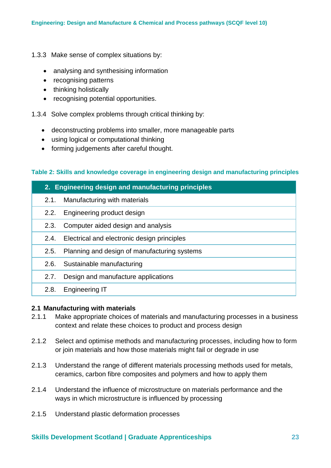- 1.3.3 Make sense of complex situations by:
	- analysing and synthesising information
	- recognising patterns
	- thinking holistically
	- recognising potential opportunities.

1.3.4 Solve complex problems through critical thinking by:

- deconstructing problems into smaller, more manageable parts
- using logical or computational thinking
- forming judgements after careful thought.

### **Table 2: Skills and knowledge coverage in engineering design and manufacturing principles**

| 2. Engineering design and manufacturing principles |                                              |  |
|----------------------------------------------------|----------------------------------------------|--|
| 2.1.                                               | Manufacturing with materials                 |  |
| 2.2.                                               | Engineering product design                   |  |
| 2.3.                                               | Computer aided design and analysis           |  |
| 2.4.                                               | Electrical and electronic design principles  |  |
| 2.5.                                               | Planning and design of manufacturing systems |  |
| 2.6.                                               | Sustainable manufacturing                    |  |
| 2.7.                                               | Design and manufacture applications          |  |
| 2.8.                                               | <b>Engineering IT</b>                        |  |
|                                                    |                                              |  |

#### **2.1 Manufacturing with materials**

- 2.1.1 Make appropriate choices of materials and manufacturing processes in a business context and relate these choices to product and process design
- 2.1.2 Select and optimise methods and manufacturing processes, including how to form or join materials and how those materials might fail or degrade in use
- 2.1.3 Understand the range of different materials processing methods used for metals, ceramics, carbon fibre composites and polymers and how to apply them
- 2.1.4 Understand the influence of microstructure on materials performance and the ways in which microstructure is influenced by processing
- 2.1.5 Understand plastic deformation processes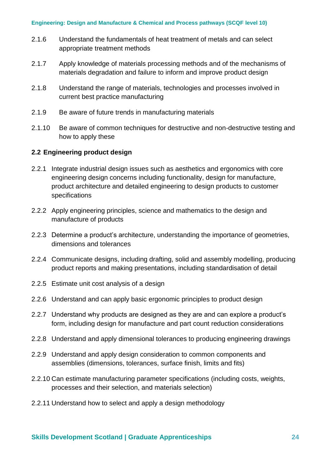- 2.1.6 Understand the fundamentals of heat treatment of metals and can select appropriate treatment methods
- 2.1.7 Apply knowledge of materials processing methods and of the mechanisms of materials degradation and failure to inform and improve product design
- 2.1.8 Understand the range of materials, technologies and processes involved in current best practice manufacturing
- 2.1.9 Be aware of future trends in manufacturing materials
- 2.1.10 Be aware of common techniques for destructive and non-destructive testing and how to apply these

### **2.2 Engineering product design**

- 2.2.1 Integrate industrial design issues such as aesthetics and ergonomics with core engineering design concerns including functionality, design for manufacture, product architecture and detailed engineering to design products to customer specifications
- 2.2.2 Apply engineering principles, science and mathematics to the design and manufacture of products
- 2.2.3 Determine a product's architecture, understanding the importance of geometries, dimensions and tolerances
- 2.2.4 Communicate designs, including drafting, solid and assembly modelling, producing product reports and making presentations, including standardisation of detail
- 2.2.5 Estimate unit cost analysis of a design
- 2.2.6 Understand and can apply basic ergonomic principles to product design
- 2.2.7 Understand why products are designed as they are and can explore a product's form, including design for manufacture and part count reduction considerations
- 2.2.8 Understand and apply dimensional tolerances to producing engineering drawings
- 2.2.9 Understand and apply design consideration to common components and assemblies (dimensions, tolerances, surface finish, limits and fits)
- 2.2.10 Can estimate manufacturing parameter specifications (including costs, weights, processes and their selection, and materials selection)
- 2.2.11 Understand how to select and apply a design methodology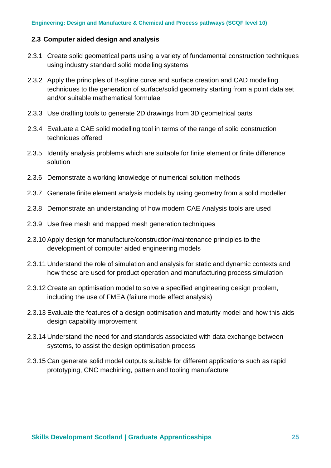#### **2.3 Computer aided design and analysis**

- 2.3.1 Create solid geometrical parts using a variety of fundamental construction techniques using industry standard solid modelling systems
- 2.3.2 Apply the principles of B-spline curve and surface creation and CAD modelling techniques to the generation of surface/solid geometry starting from a point data set and/or suitable mathematical formulae
- 2.3.3 Use drafting tools to generate 2D drawings from 3D geometrical parts
- 2.3.4 Evaluate a CAE solid modelling tool in terms of the range of solid construction techniques offered
- 2.3.5 Identify analysis problems which are suitable for finite element or finite difference solution
- 2.3.6 Demonstrate a working knowledge of numerical solution methods
- 2.3.7 Generate finite element analysis models by using geometry from a solid modeller
- 2.3.8 Demonstrate an understanding of how modern CAE Analysis tools are used
- 2.3.9 Use free mesh and mapped mesh generation techniques
- 2.3.10 Apply design for manufacture/construction/maintenance principles to the development of computer aided engineering models
- 2.3.11 Understand the role of simulation and analysis for static and dynamic contexts and how these are used for product operation and manufacturing process simulation
- 2.3.12 Create an optimisation model to solve a specified engineering design problem, including the use of FMEA (failure mode effect analysis)
- 2.3.13 Evaluate the features of a design optimisation and maturity model and how this aids design capability improvement
- 2.3.14 Understand the need for and standards associated with data exchange between systems, to assist the design optimisation process
- 2.3.15 Can generate solid model outputs suitable for different applications such as rapid prototyping, CNC machining, pattern and tooling manufacture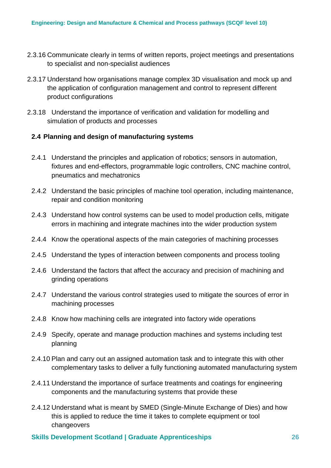- 2.3.16 Communicate clearly in terms of written reports, project meetings and presentations to specialist and non-specialist audiences
- 2.3.17 Understand how organisations manage complex 3D visualisation and mock up and the application of configuration management and control to represent different product configurations
- 2.3.18 Understand the importance of verification and validation for modelling and simulation of products and processes

### **2.4 Planning and design of manufacturing systems**

- 2.4.1 Understand the principles and application of robotics; sensors in automation, fixtures and end-effectors, programmable logic controllers, CNC machine control, pneumatics and mechatronics
- 2.4.2 Understand the basic principles of machine tool operation, including maintenance, repair and condition monitoring
- 2.4.3 Understand how control systems can be used to model production cells, mitigate errors in machining and integrate machines into the wider production system
- 2.4.4 Know the operational aspects of the main categories of machining processes
- 2.4.5 Understand the types of interaction between components and process tooling
- 2.4.6 Understand the factors that affect the accuracy and precision of machining and grinding operations
- 2.4.7 Understand the various control strategies used to mitigate the sources of error in machining processes
- 2.4.8 Know how machining cells are integrated into factory wide operations
- 2.4.9 Specify, operate and manage production machines and systems including test planning
- 2.4.10 Plan and carry out an assigned automation task and to integrate this with other complementary tasks to deliver a fully functioning automated manufacturing system
- 2.4.11 Understand the importance of surface treatments and coatings for engineering components and the manufacturing systems that provide these
- 2.4.12 Understand what is meant by SMED (Single-Minute Exchange of Dies) and how this is applied to reduce the time it takes to complete equipment or tool changeovers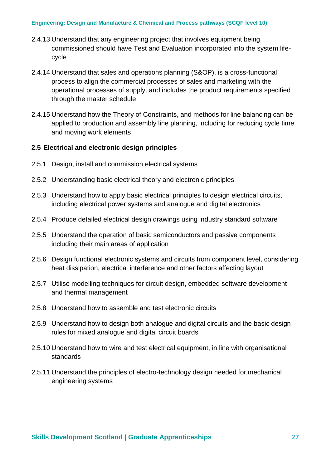#### **Engineering: Design and Manufacture & Chemical and Process pathways (SCQF level 10)**

- 2.4.13 Understand that any engineering project that involves equipment being commissioned should have Test and Evaluation incorporated into the system lifecycle
- 2.4.14 Understand that sales and operations planning (S&OP), is a cross-functional process to align the commercial processes of sales and marketing with the operational processes of supply, and includes the product requirements specified through the master schedule
- 2.4.15 Understand how the Theory of Constraints, and methods for line balancing can be applied to production and assembly line planning, including for reducing cycle time and moving work elements

### **2.5 Electrical and electronic design principles**

- 2.5.1 Design, install and commission electrical systems
- 2.5.2 Understanding basic electrical theory and electronic principles
- 2.5.3 Understand how to apply basic electrical principles to design electrical circuits, including electrical power systems and analogue and digital electronics
- 2.5.4 Produce detailed electrical design drawings using industry standard software
- 2.5.5 Understand the operation of basic semiconductors and passive components including their main areas of application
- 2.5.6 Design functional electronic systems and circuits from component level, considering heat dissipation, electrical interference and other factors affecting layout
- 2.5.7 Utilise modelling techniques for circuit design, embedded software development and thermal management
- 2.5.8 Understand how to assemble and test electronic circuits
- 2.5.9 Understand how to design both analogue and digital circuits and the basic design rules for mixed analogue and digital circuit boards
- 2.5.10 Understand how to wire and test electrical equipment, in line with organisational standards
- 2.5.11 Understand the principles of electro-technology design needed for mechanical engineering systems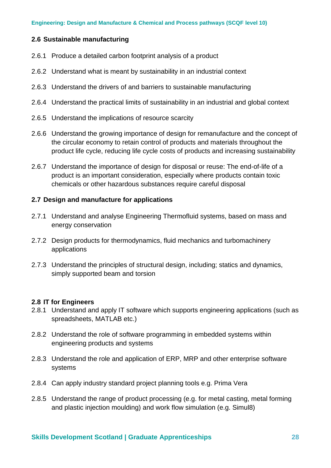### **2.6 Sustainable manufacturing**

- 2.6.1 Produce a detailed carbon footprint analysis of a product
- 2.6.2 Understand what is meant by sustainability in an industrial context
- 2.6.3 Understand the drivers of and barriers to sustainable manufacturing
- 2.6.4 Understand the practical limits of sustainability in an industrial and global context
- 2.6.5 Understand the implications of resource scarcity
- 2.6.6 Understand the growing importance of design for remanufacture and the concept of the circular economy to retain control of products and materials throughout the product life cycle, reducing life cycle costs of products and increasing sustainability
- 2.6.7 Understand the importance of design for disposal or reuse: The end-of-life of a product is an important consideration, especially where products contain toxic chemicals or other hazardous substances require careful disposal

### **2.7 Design and manufacture for applications**

- 2.7.1 Understand and analyse Engineering Thermofluid systems, based on mass and energy conservation
- 2.7.2 Design products for thermodynamics, fluid mechanics and turbomachinery applications
- 2.7.3 Understand the principles of structural design, including; statics and dynamics, simply supported beam and torsion

### **2.8 IT for Engineers**

- 2.8.1 Understand and apply IT software which supports engineering applications (such as spreadsheets, MATLAB etc.)
- 2.8.2 Understand the role of software programming in embedded systems within engineering products and systems
- 2.8.3 Understand the role and application of ERP, MRP and other enterprise software systems
- 2.8.4 Can apply industry standard project planning tools e.g. Prima Vera
- 2.8.5 Understand the range of product processing (e.g. for metal casting, metal forming and plastic injection moulding) and work flow simulation (e.g. Simul8)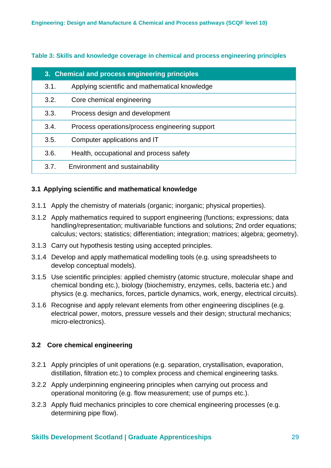**Table 3: Skills and knowledge coverage in chemical and process engineering principles**

| 3. Chemical and process engineering principles |                                                |  |  |
|------------------------------------------------|------------------------------------------------|--|--|
| 3.1.                                           | Applying scientific and mathematical knowledge |  |  |
| 3.2.                                           | Core chemical engineering                      |  |  |
| 3.3.                                           | Process design and development                 |  |  |
| 3.4.                                           | Process operations/process engineering support |  |  |
| 3.5.                                           | Computer applications and IT                   |  |  |
| 3.6.                                           | Health, occupational and process safety        |  |  |
| 3.7.                                           | Environment and sustainability                 |  |  |

### **3.1 Applying scientific and mathematical knowledge**

- 3.1.1 Apply the chemistry of materials (organic; inorganic; physical properties).
- 3.1.2 Apply mathematics required to support engineering (functions; expressions; data handling/representation; multivariable functions and solutions; 2nd order equations; calculus; vectors; statistics; differentiation; integration; matrices; algebra; geometry).
- 3.1.3 Carry out hypothesis testing using accepted principles.
- 3.1.4 Develop and apply mathematical modelling tools (e.g. using spreadsheets to develop conceptual models).
- 3.1.5 Use scientific principles: applied chemistry (atomic structure, molecular shape and chemical bonding etc.), biology (biochemistry, enzymes, cells, bacteria etc.) and physics (e.g. mechanics, forces, particle dynamics, work, energy, electrical circuits).
- 3.1.6 Recognise and apply relevant elements from other engineering disciplines (e.g. electrical power, motors, pressure vessels and their design; structural mechanics; micro-electronics).

### **3.2 Core chemical engineering**

- 3.2.1 Apply principles of unit operations (e.g. separation, crystallisation, evaporation, distillation, filtration etc.) to complex process and chemical engineering tasks.
- 3.2.2 Apply underpinning engineering principles when carrying out process and operational monitoring (e.g. flow measurement; use of pumps etc.).
- 3.2.3 Apply fluid mechanics principles to core chemical engineering processes (e.g. determining pipe flow).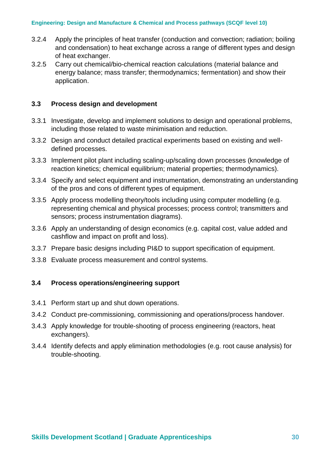- 3.2.4 Apply the principles of heat transfer (conduction and convection; radiation; boiling and condensation) to heat exchange across a range of different types and design of heat exchanger.
- 3.2.5 Carry out chemical/bio-chemical reaction calculations (material balance and energy balance; mass transfer; thermodynamics; fermentation) and show their application.

### **3.3 Process design and development**

- 3.3.1 Investigate, develop and implement solutions to design and operational problems, including those related to waste minimisation and reduction.
- 3.3.2 Design and conduct detailed practical experiments based on existing and welldefined processes.
- 3.3.3 Implement pilot plant including scaling-up/scaling down processes (knowledge of reaction kinetics; chemical equilibrium; material properties; thermodynamics).
- 3.3.4 Specify and select equipment and instrumentation, demonstrating an understanding of the pros and cons of different types of equipment.
- 3.3.5 Apply process modelling theory/tools including using computer modelling (e.g. representing chemical and physical processes; process control; transmitters and sensors; process instrumentation diagrams).
- 3.3.6 Apply an understanding of design economics (e.g. capital cost, value added and cashflow and impact on profit and loss).
- 3.3.7 Prepare basic designs including PI&D to support specification of equipment.
- 3.3.8 Evaluate process measurement and control systems.

### **3.4 Process operations/engineering support**

- 3.4.1 Perform start up and shut down operations.
- 3.4.2 Conduct pre-commissioning, commissioning and operations/process handover.
- 3.4.3 Apply knowledge for trouble-shooting of process engineering (reactors, heat exchangers).
- 3.4.4 Identify defects and apply elimination methodologies (e.g. root cause analysis) for trouble-shooting.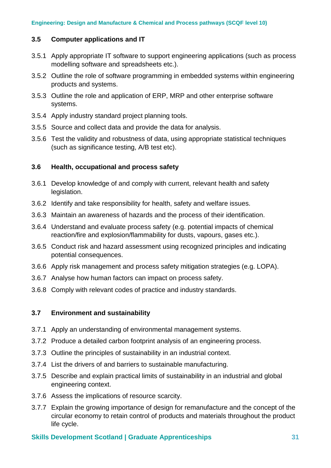### **3.5 Computer applications and IT**

- 3.5.1 Apply appropriate IT software to support engineering applications (such as process modelling software and spreadsheets etc.).
- 3.5.2 Outline the role of software programming in embedded systems within engineering products and systems.
- 3.5.3 Outline the role and application of ERP, MRP and other enterprise software systems.
- 3.5.4 Apply industry standard project planning tools.
- 3.5.5 Source and collect data and provide the data for analysis.
- 3.5.6 Test the validity and robustness of data, using appropriate statistical techniques (such as significance testing, A/B test etc).

### **3.6 Health, occupational and process safety**

- 3.6.1 Develop knowledge of and comply with current, relevant health and safety legislation.
- 3.6.2 Identify and take responsibility for health, safety and welfare issues.
- 3.6.3 Maintain an awareness of hazards and the process of their identification.
- 3.6.4 Understand and evaluate process safety (e.g. potential impacts of chemical reaction/fire and explosion/flammability for dusts, vapours, gases etc.).
- 3.6.5 Conduct risk and hazard assessment using recognized principles and indicating potential consequences.
- 3.6.6 Apply risk management and process safety mitigation strategies (e.g. LOPA).
- 3.6.7 Analyse how human factors can impact on process safety.
- 3.6.8 Comply with relevant codes of practice and industry standards.

### **3.7 Environment and sustainability**

- 3.7.1 Apply an understanding of environmental management systems.
- 3.7.2 Produce a detailed carbon footprint analysis of an engineering process.
- 3.7.3 Outline the principles of sustainability in an industrial context.
- 3.7.4 List the drivers of and barriers to sustainable manufacturing.
- 3.7.5 Describe and explain practical limits of sustainability in an industrial and global engineering context.
- 3.7.6 Assess the implications of resource scarcity.
- 3.7.7 Explain the growing importance of design for remanufacture and the concept of the circular economy to retain control of products and materials throughout the product life cycle.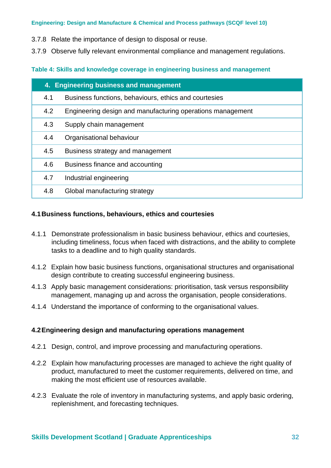3.7.8 Relate the importance of design to disposal or reuse.

3.7.9 Observe fully relevant environmental compliance and management regulations.

### **Table 4: Skills and knowledge coverage in engineering business and management**

| 4. Engineering business and management |                                                            |  |  |
|----------------------------------------|------------------------------------------------------------|--|--|
| 4.1                                    | Business functions, behaviours, ethics and courtesies      |  |  |
| 4.2                                    | Engineering design and manufacturing operations management |  |  |
| 4.3                                    | Supply chain management                                    |  |  |
| 4.4                                    | Organisational behaviour                                   |  |  |
| 4.5                                    | Business strategy and management                           |  |  |
| 4.6                                    | Business finance and accounting                            |  |  |
| 4.7                                    | Industrial engineering                                     |  |  |
| 4.8                                    | Global manufacturing strategy                              |  |  |

### **4.1Business functions, behaviours, ethics and courtesies**

- 4.1.1 Demonstrate professionalism in basic business behaviour, ethics and courtesies, including timeliness, focus when faced with distractions, and the ability to complete tasks to a deadline and to high quality standards.
- 4.1.2 Explain how basic business functions, organisational structures and organisational design contribute to creating successful engineering business.
- 4.1.3 Apply basic management considerations: prioritisation, task versus responsibility management, managing up and across the organisation, people considerations.
- 4.1.4 Understand the importance of conforming to the organisational values.

### **4.2Engineering design and manufacturing operations management**

- 4.2.1 Design, control, and improve processing and manufacturing operations.
- 4.2.2 Explain how manufacturing processes are managed to achieve the right quality of product, manufactured to meet the customer requirements, delivered on time, and making the most efficient use of resources available.
- 4.2.3 Evaluate the role of inventory in manufacturing systems, and apply basic ordering, replenishment, and forecasting techniques.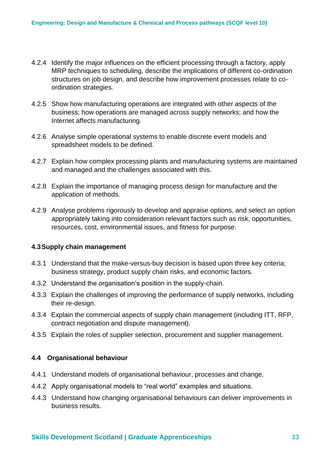- 4.2.4 Identify the major influences on the efficient processing through a factory, apply MRP techniques to scheduling, describe the implications of different co-ordination structures on job design, and describe how improvement processes relate to coordination strategies.
- 4.2.5 Show how manufacturing operations are integrated with other aspects of the business; how operations are managed across supply networks; and how the Internet affects manufacturing.
- 4.2.6 Analyse simple operational systems to enable discrete event models and spreadsheet models to be defined.
- 4.2.7 Explain how complex processing plants and manufacturing systems are maintained and managed and the challenges associated with this.
- 4.2.8 Explain the importance of managing process design for manufacture and the application of methods.
- 4.2.9 Analyse problems rigorously to develop and appraise options, and select an option appropriately taking into consideration relevant factors such as risk, opportunities, resources, cost, environmental issues, and fitness for purpose.

#### **4.3Supply chain management**

- 4.3.1 Understand that the make-versus-buy decision is based upon three key criteria; business strategy, product supply chain risks, and economic factors.
- 4.3.2 Understand the organisation's position in the supply-chain.
- 4.3.3 Explain the challenges of improving the performance of supply networks, including their re-design.
- 4.3.4 Explain the commercial aspects of supply chain management (including ITT, RFP, contract negotiation and dispute management).
- 4.3.5 Explain the roles of supplier selection, procurement and supplier management.

### **4.4 Organisational behaviour**

- 4.4.1 Understand models of organisational behaviour, processes and change.
- 4.4.2 Apply organisational models to "real world" examples and situations.
- 4.4.3 Understand how changing organisational behaviours can deliver improvements in business results.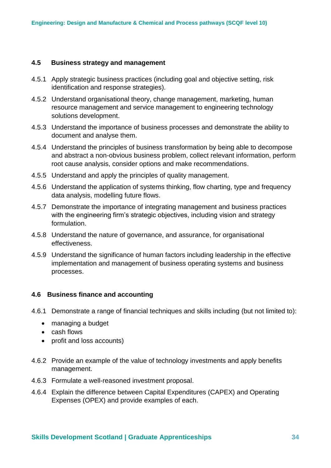#### **4.5 Business strategy and management**

- 4.5.1 Apply strategic business practices (including goal and objective setting, risk identification and response strategies).
- 4.5.2 Understand organisational theory, change management, marketing, human resource management and service management to engineering technology solutions development.
- 4.5.3 Understand the importance of business processes and demonstrate the ability to document and analyse them.
- 4.5.4 Understand the principles of business transformation by being able to decompose and abstract a non-obvious business problem, collect relevant information, perform root cause analysis, consider options and make recommendations.
- 4.5.5 Understand and apply the principles of quality management.
- 4.5.6 Understand the application of systems thinking, flow charting, type and frequency data analysis, modelling future flows.
- 4.5.7 Demonstrate the importance of integrating management and business practices with the engineering firm's strategic objectives, including vision and strategy formulation.
- 4.5.8 Understand the nature of governance, and assurance, for organisational effectiveness.
- 4.5.9 Understand the significance of human factors including leadership in the effective implementation and management of business operating systems and business processes.

#### **4.6 Business finance and accounting**

- 4.6.1 Demonstrate a range of financial techniques and skills including (but not limited to):
	- managing a budget
	- cash flows
	- profit and loss accounts)
- 4.6.2 Provide an example of the value of technology investments and apply benefits management.
- 4.6.3 Formulate a well-reasoned investment proposal.
- 4.6.4 Explain the difference between Capital Expenditures (CAPEX) and Operating Expenses (OPEX) and provide examples of each.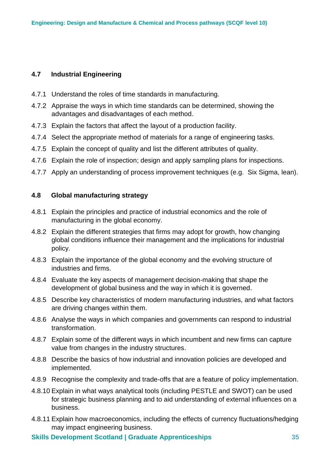### **4.7 Industrial Engineering**

- 4.7.1 Understand the roles of time standards in manufacturing.
- 4.7.2 Appraise the ways in which time standards can be determined, showing the advantages and disadvantages of each method.
- 4.7.3 Explain the factors that affect the layout of a production facility.
- 4.7.4 Select the appropriate method of materials for a range of engineering tasks.
- 4.7.5 Explain the concept of quality and list the different attributes of quality.
- 4.7.6 Explain the role of inspection; design and apply sampling plans for inspections.
- 4.7.7 Apply an understanding of process improvement techniques (e.g. Six Sigma, lean).

### **4.8 Global manufacturing strategy**

- 4.8.1 Explain the principles and practice of industrial economics and the role of manufacturing in the global economy.
- 4.8.2 Explain the different strategies that firms may adopt for growth, how changing global conditions influence their management and the implications for industrial policy.
- 4.8.3 Explain the importance of the global economy and the evolving structure of industries and firms.
- 4.8.4 Evaluate the key aspects of management decision-making that shape the development of global business and the way in which it is governed.
- 4.8.5 Describe key characteristics of modern manufacturing industries, and what factors are driving changes within them.
- 4.8.6 Analyse the ways in which companies and governments can respond to industrial transformation.
- 4.8.7 Explain some of the different ways in which incumbent and new firms can capture value from changes in the industry structures.
- 4.8.8 Describe the basics of how industrial and innovation policies are developed and implemented.
- 4.8.9 Recognise the complexity and trade-offs that are a feature of policy implementation.
- 4.8.10 Explain in what ways analytical tools (including PESTLE and SWOT) can be used for strategic business planning and to aid understanding of external influences on a business.
- 4.8.11 Explain how macroeconomics, including the effects of currency fluctuations/hedging may impact engineering business.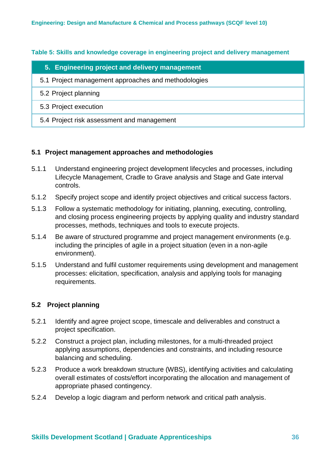**Table 5: Skills and knowledge coverage in engineering project and delivery management**

| 5. Engineering project and delivery management      |
|-----------------------------------------------------|
| 5.1 Project management approaches and methodologies |
| 5.2 Project planning                                |
| 5.3 Project execution                               |
| 5.4 Project risk assessment and management          |

### **5.1 Project management approaches and methodologies**

- 5.1.1 Understand engineering project development lifecycles and processes, including Lifecycle Management, Cradle to Grave analysis and Stage and Gate interval controls.
- 5.1.2 Specify project scope and identify project objectives and critical success factors.
- 5.1.3 Follow a systematic methodology for initiating, planning, executing, controlling, and closing process engineering projects by applying quality and industry standard processes, methods, techniques and tools to execute projects.
- 5.1.4 Be aware of structured programme and project management environments (e.g. including the principles of agile in a project situation (even in a non-agile environment).
- 5.1.5 Understand and fulfil customer requirements using development and management processes: elicitation, specification, analysis and applying tools for managing requirements.

### **5.2 Project planning**

- 5.2.1 Identify and agree project scope, timescale and deliverables and construct a project specification.
- 5.2.2 Construct a project plan, including milestones, for a multi-threaded project applying assumptions, dependencies and constraints, and including resource balancing and scheduling.
- 5.2.3 Produce a work breakdown structure (WBS), identifying activities and calculating overall estimates of costs/effort incorporating the allocation and management of appropriate phased contingency.
- 5.2.4 Develop a logic diagram and perform network and critical path analysis.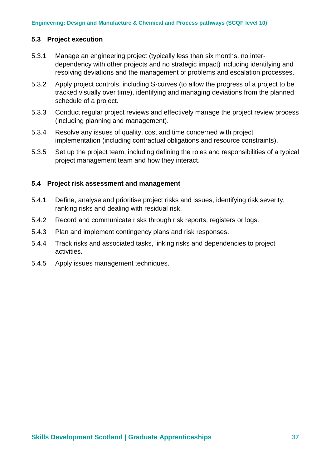### **5.3 Project execution**

- 5.3.1 Manage an engineering project (typically less than six months, no interdependency with other projects and no strategic impact) including identifying and resolving deviations and the management of problems and escalation processes.
- 5.3.2 Apply project controls, including S-curves (to allow the progress of a project to be tracked visually over time), identifying and managing deviations from the planned schedule of a project.
- 5.3.3 Conduct regular project reviews and effectively manage the project review process (including planning and management).
- 5.3.4 Resolve any issues of quality, cost and time concerned with project implementation (including contractual obligations and resource constraints).
- 5.3.5 Set up the project team, including defining the roles and responsibilities of a typical project management team and how they interact.

#### **5.4 Project risk assessment and management**

- 5.4.1 Define, analyse and prioritise project risks and issues, identifying risk severity, ranking risks and dealing with residual risk.
- 5.4.2 Record and communicate risks through risk reports, registers or logs.
- 5.4.3 Plan and implement contingency plans and risk responses.
- 5.4.4 Track risks and associated tasks, linking risks and dependencies to project activities.
- 5.4.5 Apply issues management techniques.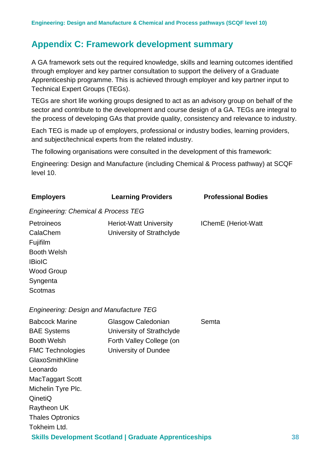### <span id="page-37-0"></span>**Appendix C: Framework development summary**

A GA framework sets out the required knowledge, skills and learning outcomes identified through employer and key partner consultation to support the delivery of a Graduate Apprenticeship programme. This is achieved through employer and key partner input to Technical Expert Groups (TEGs).

TEGs are short life working groups designed to act as an advisory group on behalf of the sector and contribute to the development and course design of a GA. TEGs are integral to the process of developing GAs that provide quality, consistency and relevance to industry.

Each TEG is made up of employers, professional or industry bodies, learning providers, and subject/technical experts from the related industry.

The following organisations were consulted in the development of this framework:

Engineering: Design and Manufacture (including Chemical & Process pathway) at SCQF level 10.

| <b>Employers</b>                                                                                                                                                                                                                           | <b>Learning Providers</b>                                                                           | <b>Professional Bodies</b> |  |  |  |
|--------------------------------------------------------------------------------------------------------------------------------------------------------------------------------------------------------------------------------------------|-----------------------------------------------------------------------------------------------------|----------------------------|--|--|--|
|                                                                                                                                                                                                                                            | Engineering: Chemical & Process TEG                                                                 |                            |  |  |  |
| Petroineos<br>CalaChem<br>Fujifilm<br><b>Booth Welsh</b><br><b>IBioIC</b><br><b>Wood Group</b><br>Syngenta<br><b>Scotmas</b>                                                                                                               | Heriot-Watt University<br>University of Strathclyde                                                 | IChemE (Heriot-Watt        |  |  |  |
| <b>Engineering: Design and Manufacture TEG</b>                                                                                                                                                                                             |                                                                                                     |                            |  |  |  |
| <b>Babcock Marine</b><br><b>BAE Systems</b><br><b>Booth Welsh</b><br><b>FMC Technologies</b><br>GlaxoSmithKline<br>Leonardo<br>MacTaggart Scott<br>Michelin Tyre Plc.<br>QinetiQ<br>Raytheon UK<br><b>Thales Optronics</b><br>Tokheim Ltd. | Glasgow Caledonian<br>University of Strathclyde<br>Forth Valley College (on<br>University of Dundee | Semta                      |  |  |  |